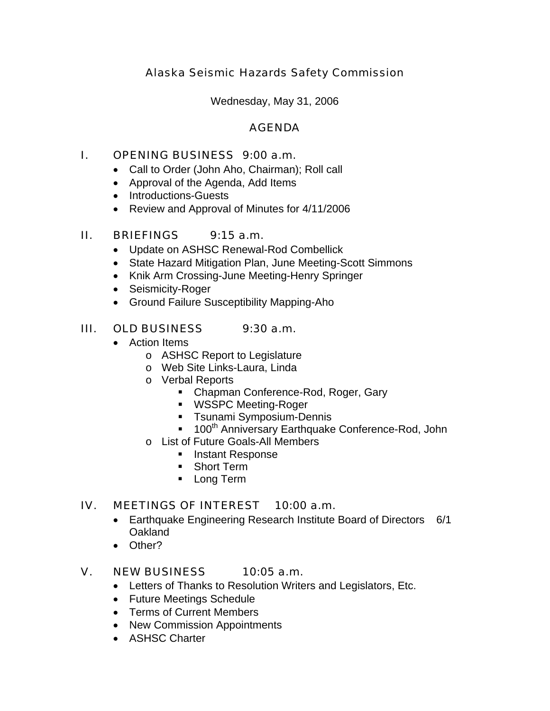# Alaska Seismic Hazards Safety Commission

Wednesday, May 31, 2006

### AGENDA

### I. OPENING BUSINESS 9:00 a.m.

- Call to Order (John Aho, Chairman); Roll call
- Approval of the Agenda, Add Items
- Introductions-Guests
- Review and Approval of Minutes for 4/11/2006

## II. BRIEFINGS 9:15 a.m.

- Update on ASHSC Renewal-Rod Combellick
- State Hazard Mitigation Plan, June Meeting-Scott Simmons
- Knik Arm Crossing-June Meeting-Henry Springer
- Seismicity-Roger
- Ground Failure Susceptibility Mapping-Aho

## III. OLD BUSINESS 9:30 a.m.

- Action Items
	- o ASHSC Report to Legislature
	- o Web Site Links-Laura, Linda
	- o Verbal Reports
		- Chapman Conference-Rod, Roger, Gary
		- **WSSPC Meeting-Roger**
		- **Tsunami Symposium-Dennis**
		- 100<sup>th</sup> Anniversary Earthquake Conference-Rod, John
	- o List of Future Goals-All Members
		- **Instant Response**
		- **Short Term**
		- **Long Term**

#### IV. MEETINGS OF INTEREST 10:00 a.m.

- Earthquake Engineering Research Institute Board of Directors 6/1 **Oakland**
- Other?

#### V. NEW BUSINESS 10:05 a.m.

- Letters of Thanks to Resolution Writers and Legislators, Etc.
- Future Meetings Schedule
- Terms of Current Members
- New Commission Appointments
- ASHSC Charter